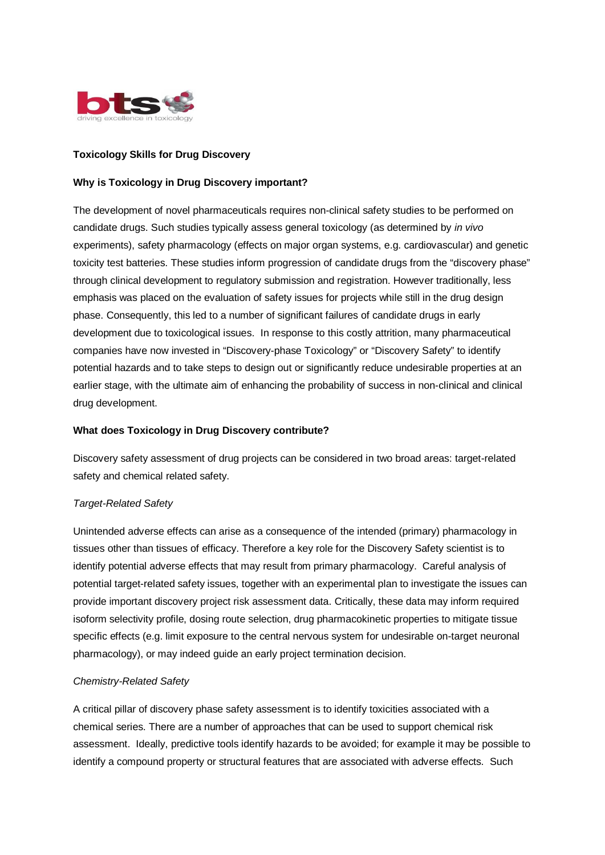

# **Toxicology Skills for Drug Discovery**

# **Why is Toxicology in Drug Discovery important?**

The development of novel pharmaceuticals requires non-clinical safety studies to be performed on candidate drugs. Such studies typically assess general toxicology (as determined by *in vivo* experiments), safety pharmacology (effects on major organ systems, e.g. cardiovascular) and genetic toxicity test batteries. These studies inform progression of candidate drugs from the "discovery phase" through clinical development to regulatory submission and registration. However traditionally, less emphasis was placed on the evaluation of safety issues for projects while still in the drug design phase. Consequently, this led to a number of significant failures of candidate drugs in early development due to toxicological issues. In response to this costly attrition, many pharmaceutical companies have now invested in "Discovery-phase Toxicology" or "Discovery Safety" to identify potential hazards and to take steps to design out or significantly reduce undesirable properties at an earlier stage, with the ultimate aim of enhancing the probability of success in non-clinical and clinical drug development.

# **What does Toxicology in Drug Discovery contribute?**

Discovery safety assessment of drug projects can be considered in two broad areas: target-related safety and chemical related safety.

# *Target-Related Safety*

Unintended adverse effects can arise as a consequence of the intended (primary) pharmacology in tissues other than tissues of efficacy. Therefore a key role for the Discovery Safety scientist is to identify potential adverse effects that may result from primary pharmacology. Careful analysis of potential target-related safety issues, together with an experimental plan to investigate the issues can provide important discovery project risk assessment data. Critically, these data may inform required isoform selectivity profile, dosing route selection, drug pharmacokinetic properties to mitigate tissue specific effects (e.g. limit exposure to the central nervous system for undesirable on-target neuronal pharmacology), or may indeed guide an early project termination decision.

#### *Chemistry-Related Safety*

A critical pillar of discovery phase safety assessment is to identify toxicities associated with a chemical series. There are a number of approaches that can be used to support chemical risk assessment. Ideally, predictive tools identify hazards to be avoided; for example it may be possible to identify a compound property or structural features that are associated with adverse effects. Such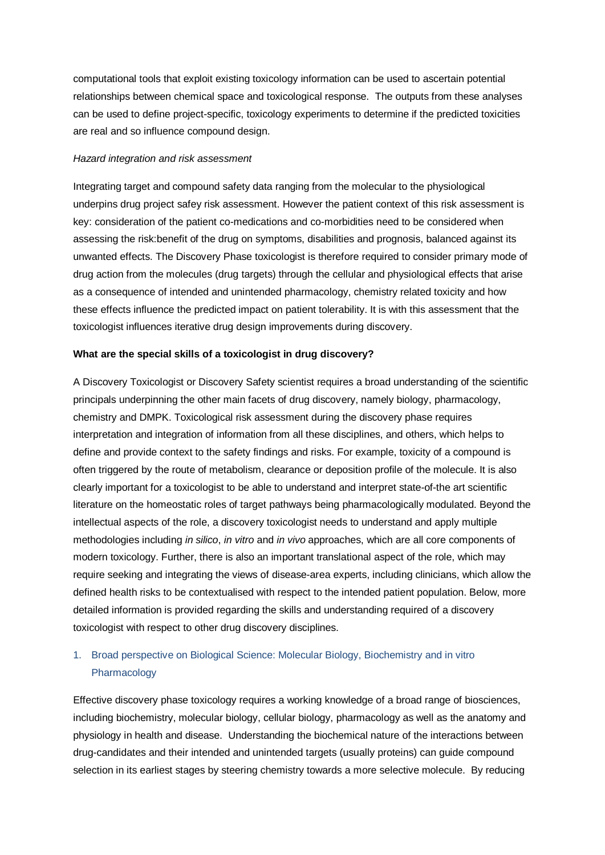computational tools that exploit existing toxicology information can be used to ascertain potential relationships between chemical space and toxicological response. The outputs from these analyses can be used to define project-specific, toxicology experiments to determine if the predicted toxicities are real and so influence compound design.

#### *Hazard integration and risk assessment*

Integrating target and compound safety data ranging from the molecular to the physiological underpins drug project safey risk assessment. However the patient context of this risk assessment is key: consideration of the patient co-medications and co-morbidities need to be considered when assessing the risk:benefit of the drug on symptoms, disabilities and prognosis, balanced against its unwanted effects. The Discovery Phase toxicologist is therefore required to consider primary mode of drug action from the molecules (drug targets) through the cellular and physiological effects that arise as a consequence of intended and unintended pharmacology, chemistry related toxicity and how these effects influence the predicted impact on patient tolerability. It is with this assessment that the toxicologist influences iterative drug design improvements during discovery.

## **What are the special skills of a toxicologist in drug discovery?**

A Discovery Toxicologist or Discovery Safety scientist requires a broad understanding of the scientific principals underpinning the other main facets of drug discovery, namely biology, pharmacology, chemistry and DMPK. Toxicological risk assessment during the discovery phase requires interpretation and integration of information from all these disciplines, and others, which helps to define and provide context to the safety findings and risks. For example, toxicity of a compound is often triggered by the route of metabolism, clearance or deposition profile of the molecule. It is also clearly important for a toxicologist to be able to understand and interpret state-of-the art scientific literature on the homeostatic roles of target pathways being pharmacologically modulated. Beyond the intellectual aspects of the role, a discovery toxicologist needs to understand and apply multiple methodologies including *in silico*, *in vitro* and *in vivo* approaches, which are all core components of modern toxicology. Further, there is also an important translational aspect of the role, which may require seeking and integrating the views of disease-area experts, including clinicians, which allow the defined health risks to be contextualised with respect to the intended patient population. Below, more detailed information is provided regarding the skills and understanding required of a discovery toxicologist with respect to other drug discovery disciplines.

# 1. Broad perspective on Biological Science: Molecular Biology, Biochemistry and in vitro Pharmacology

Effective discovery phase toxicology requires a working knowledge of a broad range of biosciences, including biochemistry, molecular biology, cellular biology, pharmacology as well as the anatomy and physiology in health and disease. Understanding the biochemical nature of the interactions between drug-candidates and their intended and unintended targets (usually proteins) can guide compound selection in its earliest stages by steering chemistry towards a more selective molecule. By reducing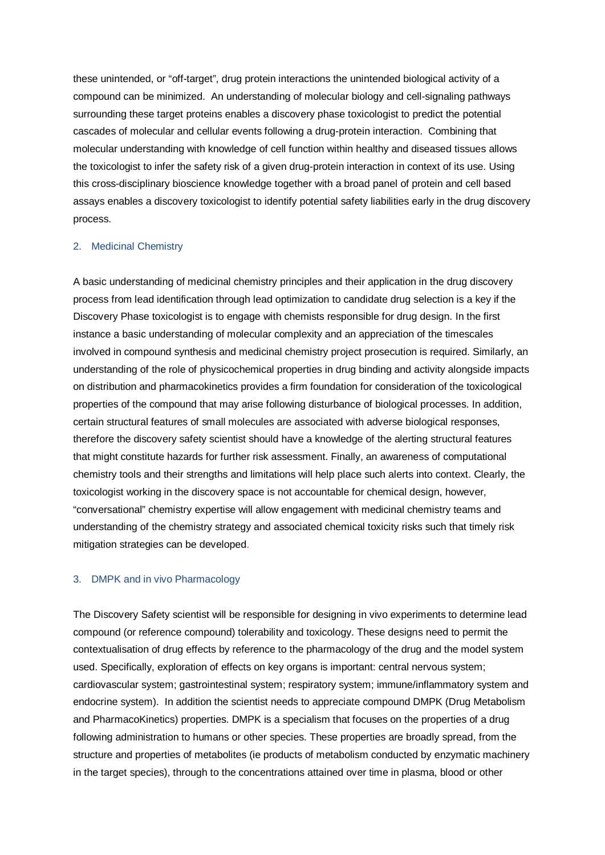these unintended, or "off-target", drug protein interactions the unintended biological activity of a compound can be minimized. An understanding of molecular biology and cell-signaling pathways surrounding these target proteins enables a discovery phase toxicologist to predict the potential cascades of molecular and cellular events following a drug-protein interaction. Combining that molecular understanding with knowledge of cell function within healthy and diseased tissues allows the toxicologist to infer the safety risk of a given drug-protein interaction in context of its use. Using this cross-disciplinary bioscience knowledge together with a broad panel of protein and cell based assays enables a discovery toxicologist to identify potential safety liabilities early in the drug discovery process.

#### 2. Medicinal Chemistry

A basic understanding of medicinal chemistry principles and their application in the drug discovery process from lead identification through lead optimization to candidate drug selection is a key if the Discovery Phase toxicologist is to engage with chemists responsible for drug design. In the first instance a basic understanding of molecular complexity and an appreciation of the timescales involved in compound synthesis and medicinal chemistry project prosecution is required. Similarly, an understanding of the role of physicochemical properties in drug binding and activity alongside impacts on distribution and pharmacokinetics provides a firm foundation for consideration of the toxicological properties of the compound that may arise following disturbance of biological processes. In addition, certain structural features of small molecules are associated with adverse biological responses, therefore the discovery safety scientist should have a knowledge of the alerting structural features that might constitute hazards for further risk assessment. Finally, an awareness of computational chemistry tools and their strengths and limitations will help place such alerts into context. Clearly, the toxicologist working in the discovery space is not accountable for chemical design, however, "conversational" chemistry expertise will allow engagement with medicinal chemistry teams and understanding of the chemistry strategy and associated chemical toxicity risks such that timely risk mitigation strategies can be developed.

## 3. DMPK and in vivo Pharmacology

The Discovery Safety scientist will be responsible for designing in vivo experiments to determine lead compound (or reference compound) tolerability and toxicology. These designs need to permit the contextualisation of drug effects by reference to the pharmacology of the drug and the model system used. Specifically, exploration of effects on key organs is important: central nervous system; cardiovascular system; gastrointestinal system; respiratory system; immune/inflammatory system and endocrine system). In addition the scientist needs to appreciate compound DMPK (Drug Metabolism and PharmacoKinetics) properties. DMPK is a specialism that focuses on the properties of a drug following administration to humans or other species. These properties are broadly spread, from the structure and properties of metabolites (ie products of metabolism conducted by enzymatic machinery in the target species), through to the concentrations attained over time in plasma, blood or other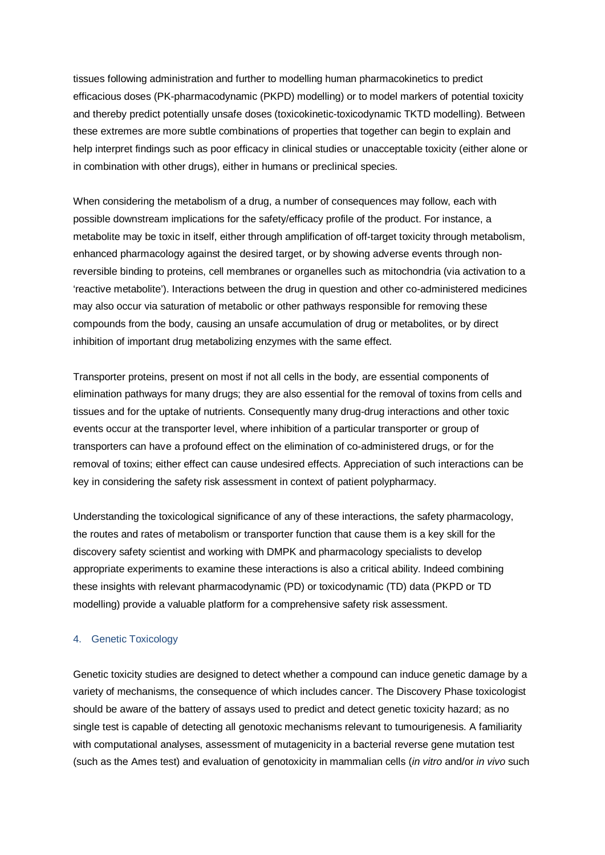tissues following administration and further to modelling human pharmacokinetics to predict efficacious doses (PK-pharmacodynamic (PKPD) modelling) or to model markers of potential toxicity and thereby predict potentially unsafe doses (toxicokinetic-toxicodynamic TKTD modelling). Between these extremes are more subtle combinations of properties that together can begin to explain and help interpret findings such as poor efficacy in clinical studies or unacceptable toxicity (either alone or in combination with other drugs), either in humans or preclinical species.

When considering the metabolism of a drug, a number of consequences may follow, each with possible downstream implications for the safety/efficacy profile of the product. For instance, a metabolite may be toxic in itself, either through amplification of off-target toxicity through metabolism, enhanced pharmacology against the desired target, or by showing adverse events through nonreversible binding to proteins, cell membranes or organelles such as mitochondria (via activation to a 'reactive metabolite'). Interactions between the drug in question and other co-administered medicines may also occur via saturation of metabolic or other pathways responsible for removing these compounds from the body, causing an unsafe accumulation of drug or metabolites, or by direct inhibition of important drug metabolizing enzymes with the same effect.

Transporter proteins, present on most if not all cells in the body, are essential components of elimination pathways for many drugs; they are also essential for the removal of toxins from cells and tissues and for the uptake of nutrients. Consequently many drug-drug interactions and other toxic events occur at the transporter level, where inhibition of a particular transporter or group of transporters can have a profound effect on the elimination of co-administered drugs, or for the removal of toxins; either effect can cause undesired effects. Appreciation of such interactions can be key in considering the safety risk assessment in context of patient polypharmacy.

Understanding the toxicological significance of any of these interactions, the safety pharmacology, the routes and rates of metabolism or transporter function that cause them is a key skill for the discovery safety scientist and working with DMPK and pharmacology specialists to develop appropriate experiments to examine these interactions is also a critical ability. Indeed combining these insights with relevant pharmacodynamic (PD) or toxicodynamic (TD) data (PKPD or TD modelling) provide a valuable platform for a comprehensive safety risk assessment.

#### 4. Genetic Toxicology

Genetic toxicity studies are designed to detect whether a compound can induce genetic damage by a variety of mechanisms, the consequence of which includes cancer. The Discovery Phase toxicologist should be aware of the battery of assays used to predict and detect genetic toxicity hazard; as no single test is capable of detecting all genotoxic mechanisms relevant to tumourigenesis. A familiarity with computational analyses, assessment of mutagenicity in a bacterial reverse gene mutation test (such as the Ames test) and evaluation of genotoxicity in mammalian cells (*in vitro* and/or *in vivo* such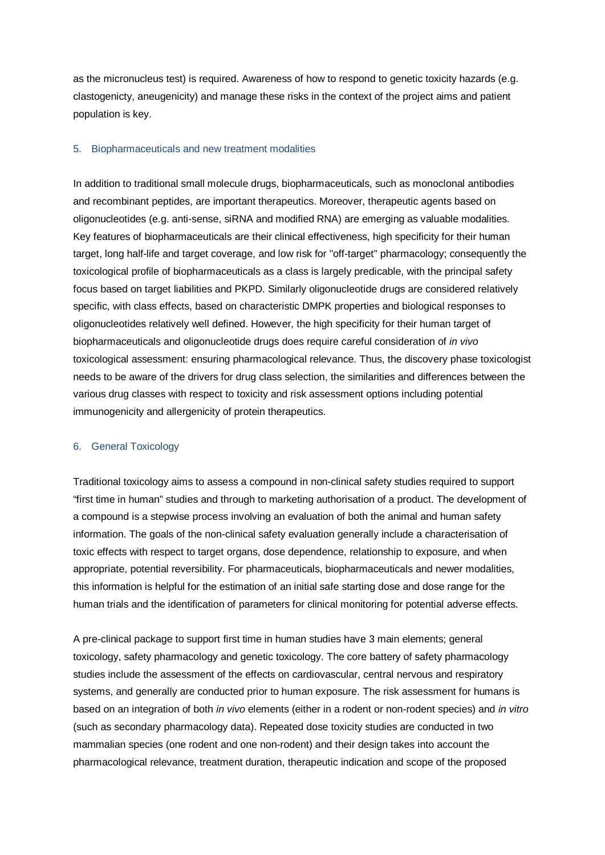as the micronucleus test) is required. Awareness of how to respond to genetic toxicity hazards (e.g. clastogenicty, aneugenicity) and manage these risks in the context of the project aims and patient population is key.

#### 5. Biopharmaceuticals and new treatment modalities

In addition to traditional small molecule drugs, biopharmaceuticals, such as monoclonal antibodies and recombinant peptides, are important therapeutics. Moreover, therapeutic agents based on oligonucleotides (e.g. anti-sense, siRNA and modified RNA) are emerging as valuable modalities. Key features of biopharmaceuticals are their clinical effectiveness, high specificity for their human target, long half-life and target coverage, and low risk for "off-target" pharmacology; consequently the toxicological profile of biopharmaceuticals as a class is largely predicable, with the principal safety focus based on target liabilities and PKPD. Similarly oligonucleotide drugs are considered relatively specific, with class effects, based on characteristic DMPK properties and biological responses to oligonucleotides relatively well defined. However, the high specificity for their human target of biopharmaceuticals and oligonucleotide drugs does require careful consideration of *in vivo* toxicological assessment: ensuring pharmacological relevance. Thus, the discovery phase toxicologist needs to be aware of the drivers for drug class selection, the similarities and differences between the various drug classes with respect to toxicity and risk assessment options including potential immunogenicity and allergenicity of protein therapeutics.

#### 6. General Toxicology

Traditional toxicology aims to assess a compound in non-clinical safety studies required to support "first time in human" studies and through to marketing authorisation of a product. The development of a compound is a stepwise process involving an evaluation of both the animal and human safety information. The goals of the non-clinical safety evaluation generally include a characterisation of toxic effects with respect to target organs, dose dependence, relationship to exposure, and when appropriate, potential reversibility. For pharmaceuticals, biopharmaceuticals and newer modalities, this information is helpful for the estimation of an initial safe starting dose and dose range for the human trials and the identification of parameters for clinical monitoring for potential adverse effects.

A pre-clinical package to support first time in human studies have 3 main elements; general toxicology, safety pharmacology and genetic toxicology. The core battery of safety pharmacology studies include the assessment of the effects on cardiovascular, central nervous and respiratory systems, and generally are conducted prior to human exposure. The risk assessment for humans is based on an integration of both *in vivo* elements (either in a rodent or non-rodent species) and *in vitro* (such as secondary pharmacology data). Repeated dose toxicity studies are conducted in two mammalian species (one rodent and one non-rodent) and their design takes into account the pharmacological relevance, treatment duration, therapeutic indication and scope of the proposed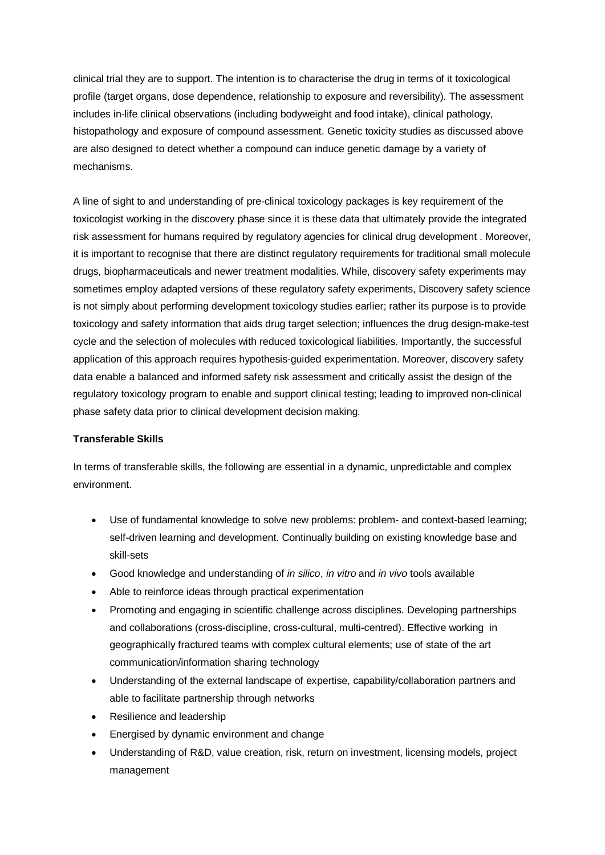clinical trial they are to support. The intention is to characterise the drug in terms of it toxicological profile (target organs, dose dependence, relationship to exposure and reversibility). The assessment includes in-life clinical observations (including bodyweight and food intake), clinical pathology, histopathology and exposure of compound assessment. Genetic toxicity studies as discussed above are also designed to detect whether a compound can induce genetic damage by a variety of mechanisms.

A line of sight to and understanding of pre-clinical toxicology packages is key requirement of the toxicologist working in the discovery phase since it is these data that ultimately provide the integrated risk assessment for humans required by regulatory agencies for clinical drug development . Moreover, it is important to recognise that there are distinct regulatory requirements for traditional small molecule drugs, biopharmaceuticals and newer treatment modalities. While, discovery safety experiments may sometimes employ adapted versions of these regulatory safety experiments, Discovery safety science is not simply about performing development toxicology studies earlier; rather its purpose is to provide toxicology and safety information that aids drug target selection; influences the drug design-make-test cycle and the selection of molecules with reduced toxicological liabilities. Importantly, the successful application of this approach requires hypothesis-guided experimentation. Moreover, discovery safety data enable a balanced and informed safety risk assessment and critically assist the design of the regulatory toxicology program to enable and support clinical testing; leading to improved non-clinical phase safety data prior to clinical development decision making.

# **Transferable Skills**

In terms of transferable skills, the following are essential in a dynamic, unpredictable and complex environment.

- Use of fundamental knowledge to solve new problems: problem- and context-based learning; self-driven learning and development. Continually building on existing knowledge base and skill-sets
- x Good knowledge and understanding of *in silico*, *in vitro* and *in vivo* tools available
- Able to reinforce ideas through practical experimentation
- Promoting and engaging in scientific challenge across disciplines. Developing partnerships and collaborations (cross-discipline, cross-cultural, multi-centred). Effective working in geographically fractured teams with complex cultural elements; use of state of the art communication/information sharing technology
- Understanding of the external landscape of expertise, capability/collaboration partners and able to facilitate partnership through networks
- Resilience and leadership
- Energised by dynamic environment and change
- Understanding of R&D, value creation, risk, return on investment, licensing models, project management